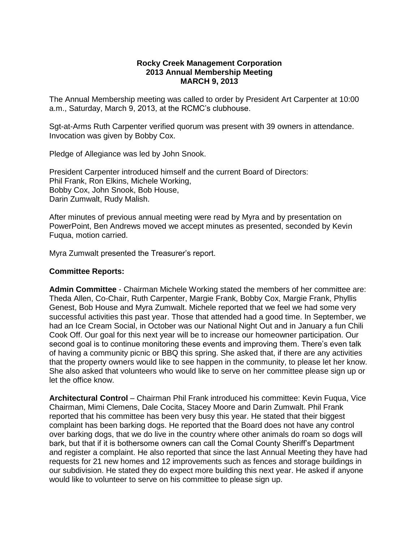## **Rocky Creek Management Corporation 2013 Annual Membership Meeting MARCH 9, 2013**

The Annual Membership meeting was called to order by President Art Carpenter at 10:00 a.m., Saturday, March 9, 2013, at the RCMC's clubhouse.

Sgt-at-Arms Ruth Carpenter verified quorum was present with 39 owners in attendance. Invocation was given by Bobby Cox.

Pledge of Allegiance was led by John Snook.

President Carpenter introduced himself and the current Board of Directors: Phil Frank, Ron Elkins, Michele Working, Bobby Cox, John Snook, Bob House, Darin Zumwalt, Rudy Malish.

After minutes of previous annual meeting were read by Myra and by presentation on PowerPoint, Ben Andrews moved we accept minutes as presented, seconded by Kevin Fuqua, motion carried.

Myra Zumwalt presented the Treasurer's report.

## **Committee Reports:**

**Admin Committee** - Chairman Michele Working stated the members of her committee are: Theda Allen, Co-Chair, Ruth Carpenter, Margie Frank, Bobby Cox, Margie Frank, Phyllis Genest, Bob House and Myra Zumwalt. Michele reported that we feel we had some very successful activities this past year. Those that attended had a good time. In September, we had an Ice Cream Social, in October was our National Night Out and in January a fun Chili Cook Off. Our goal for this next year will be to increase our homeowner participation. Our second goal is to continue monitoring these events and improving them. There's even talk of having a community picnic or BBQ this spring. She asked that, if there are any activities that the property owners would like to see happen in the community, to please let her know. She also asked that volunteers who would like to serve on her committee please sign up or let the office know.

**Architectural Control** – Chairman Phil Frank introduced his committee: Kevin Fuqua, Vice Chairman, Mimi Clemens, Dale Cocita, Stacey Moore and Darin Zumwalt. Phil Frank reported that his committee has been very busy this year. He stated that their biggest complaint has been barking dogs. He reported that the Board does not have any control over barking dogs, that we do live in the country where other animals do roam so dogs will bark, but that if it is bothersome owners can call the Comal County Sheriff's Department and register a complaint. He also reported that since the last Annual Meeting they have had requests for 21 new homes and 12 improvements such as fences and storage buildings in our subdivision. He stated they do expect more building this next year. He asked if anyone would like to volunteer to serve on his committee to please sign up.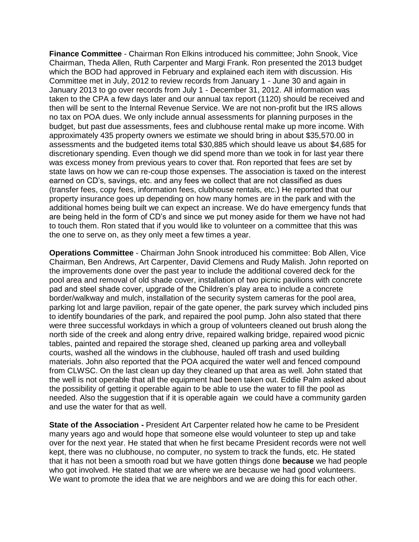**Finance Committee** - Chairman Ron Elkins introduced his committee; John Snook, Vice Chairman, Theda Allen, Ruth Carpenter and Margi Frank. Ron presented the 2013 budget which the BOD had approved in February and explained each item with discussion. His Committee met in July, 2012 to review records from January 1 - June 30 and again in January 2013 to go over records from July 1 - December 31, 2012. All information was taken to the CPA a few days later and our annual tax report (1120) should be received and then will be sent to the Internal Revenue Service. We are not non-profit but the IRS allows no tax on POA dues. We only include annual assessments for planning purposes in the budget, but past due assessments, fees and clubhouse rental make up more income. With approximately 435 property owners we estimate we should bring in about \$35,570.00 in assessments and the budgeted items total \$30,885 which should leave us about \$4,685 for discretionary spending. Even though we did spend more than we took in for last year there was excess money from previous years to cover that. Ron reported that fees are set by state laws on how we can re-coup those expenses. The association is taxed on the interest earned on CD's, savings, etc. and any fees we collect that are not classified as dues (transfer fees, copy fees, information fees, clubhouse rentals, etc.) He reported that our property insurance goes up depending on how many homes are in the park and with the additional homes being built we can expect an increase. We do have emergency funds that are being held in the form of CD's and since we put money aside for them we have not had to touch them. Ron stated that if you would like to volunteer on a committee that this was the one to serve on, as they only meet a few times a year.

**Operations Committee** - Chairman John Snook introduced his committee: Bob Allen, Vice Chairman, Ben Andrews, Art Carpenter, David Clemens and Rudy Malish. John reported on the improvements done over the past year to include the additional covered deck for the pool area and removal of old shade cover, installation of two picnic pavilions with concrete pad and steel shade cover, upgrade of the Children's play area to include a concrete border/walkway and mulch, installation of the security system cameras for the pool area, parking lot and large pavilion, repair of the gate opener, the park survey which included pins to identify boundaries of the park, and repaired the pool pump. John also stated that there were three successful workdays in which a group of volunteers cleaned out brush along the north side of the creek and along entry drive, repaired walking bridge, repaired wood picnic tables, painted and repaired the storage shed, cleaned up parking area and volleyball courts, washed all the windows in the clubhouse, hauled off trash and used building materials. John also reported that the POA acquired the water well and fenced compound from CLWSC. On the last clean up day they cleaned up that area as well. John stated that the well is not operable that all the equipment had been taken out. Eddie Palm asked about the possibility of getting it operable again to be able to use the water to fill the pool as needed. Also the suggestion that if it is operable again we could have a community garden and use the water for that as well.

**State of the Association -** President Art Carpenter related how he came to be President many years ago and would hope that someone else would volunteer to step up and take over for the next year. He stated that when he first became President records were not well kept, there was no clubhouse, no computer, no system to track the funds, etc. He stated that it has not been a smooth road but we have gotten things done **because** we had people who got involved. He stated that we are where we are because we had good volunteers. We want to promote the idea that we are neighbors and we are doing this for each other.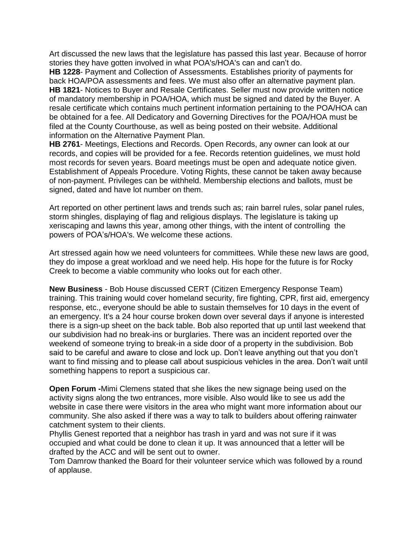Art discussed the new laws that the legislature has passed this last year. Because of horror stories they have gotten involved in what POA's/HOA's can and can't do.

**HB 1228**- Payment and Collection of Assessments. Establishes priority of payments for back HOA/POA assessments and fees. We must also offer an alternative payment plan. **HB 1821**- Notices to Buyer and Resale Certificates. Seller must now provide written notice of mandatory membership in POA/HOA, which must be signed and dated by the Buyer. A resale certificate which contains much pertinent information pertaining to the POA/HOA can be obtained for a fee. All Dedicatory and Governing Directives for the POA/HOA must be filed at the County Courthouse, as well as being posted on their website. Additional information on the Alternative Payment Plan.

**HB 2761**- Meetings, Elections and Records. Open Records, any owner can look at our records, and copies will be provided for a fee. Records retention guidelines, we must hold most records for seven years. Board meetings must be open and adequate notice given. Establishment of Appeals Procedure. Voting Rights, these cannot be taken away because of non-payment. Privileges can be withheld. Membership elections and ballots, must be signed, dated and have lot number on them.

Art reported on other pertinent laws and trends such as; rain barrel rules, solar panel rules, storm shingles, displaying of flag and religious displays. The legislature is taking up xeriscaping and lawns this year, among other things, with the intent of controlling the powers of POA's/HOA's. We welcome these actions.

Art stressed again how we need volunteers for committees. While these new laws are good, they do impose a great workload and we need help. His hope for the future is for Rocky Creek to become a viable community who looks out for each other.

**New Business** - Bob House discussed CERT (Citizen Emergency Response Team) training. This training would cover homeland security, fire fighting, CPR, first aid, emergency response, etc., everyone should be able to sustain themselves for 10 days in the event of an emergency. It's a 24 hour course broken down over several days if anyone is interested there is a sign-up sheet on the back table. Bob also reported that up until last weekend that our subdivision had no break-ins or burglaries. There was an incident reported over the weekend of someone trying to break-in a side door of a property in the subdivision. Bob said to be careful and aware to close and lock up. Don't leave anything out that you don't want to find missing and to please call about suspicious vehicles in the area. Don't wait until something happens to report a suspicious car.

**Open Forum -**Mimi Clemens stated that she likes the new signage being used on the activity signs along the two entrances, more visible. Also would like to see us add the website in case there were visitors in the area who might want more information about our community. She also asked if there was a way to talk to builders about offering rainwater catchment system to their clients.

Phyllis Genest reported that a neighbor has trash in yard and was not sure if it was occupied and what could be done to clean it up. It was announced that a letter will be drafted by the ACC and will be sent out to owner.

Tom Damrow thanked the Board for their volunteer service which was followed by a round of applause.